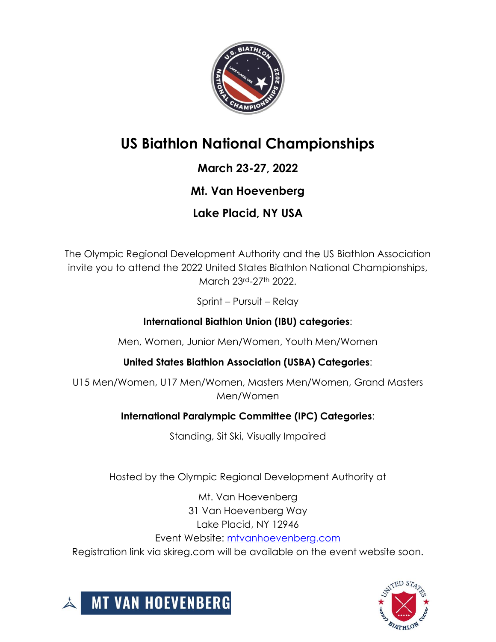

# **US Biathlon National Championships**

### **March 23-27, 2022**

### **Mt. Van Hoevenberg**

### **Lake Placid, NY USA**

The Olympic Regional Development Authority and the US Biathlon Association invite you to attend the 2022 United States Biathlon National Championships, March 23rd-27th 2022.

Sprint – Pursuit – Relay

#### **International Biathlon Union (IBU) categories**:

Men, Women, Junior Men/Women, Youth Men/Women

**United States Biathlon Association (USBA) Categories**:

U15 Men/Women, U17 Men/Women, Masters Men/Women, Grand Masters Men/Women

#### **International Paralympic Committee (IPC) Categories**:

Standing, Sit Ski, Visually Impaired

Hosted by the Olympic Regional Development Authority at

Mt. Van Hoevenberg 31 Van Hoevenberg Way Lake Placid, NY 12946 Event Website: [mtvanhoevenberg.com](https://mtvanhoevenberg.com/event/u-s-biathlon-national-championships/) Registration link via skireg.com will be available on the event website soon.



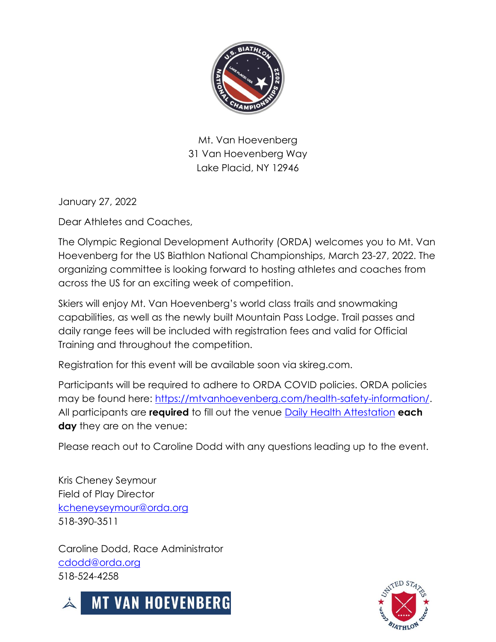

Mt. Van Hoevenberg 31 Van Hoevenberg Way Lake Placid, NY 12946

January 27, 2022

Dear Athletes and Coaches,

The Olympic Regional Development Authority (ORDA) welcomes you to Mt. Van Hoevenberg for the US Biathlon National Championships, March 23-27, 2022. The organizing committee is looking forward to hosting athletes and coaches from across the US for an exciting week of competition.

Skiers will enjoy Mt. Van Hoevenberg's world class trails and snowmaking capabilities, as well as the newly built Mountain Pass Lodge. Trail passes and daily range fees will be included with registration fees and valid for Official Training and throughout the competition.

Registration for this event will be available soon via skireg.com.

Participants will be required to adhere to ORDA COVID policies. ORDA policies may be found here: [https://mtvanhoevenberg.com/health-safety-information/.](https://mtvanhoevenberg.com/health-safety-information/) All participants are **required** to fill out the venue [Daily Health Attestation](https://my.1risk.net/healthcheck/form?a=eyJhcGlOYW1lIjoib3NjYXBpIiwiYXBpS2V5IjoiZTNjN2NkODRlMmE4NDRhNGE3MmNiM2I3ZGE4OTAyZTMifQ) **each day** they are on the venue:

Please reach out to Caroline Dodd with any questions leading up to the event.

Kris Cheney Seymour Field of Play Director [kcheneyseymour@orda.org](mailto:kcheneyseymour@orda.org) 518-390-3511

Caroline Dodd, Race Administrator [cdodd@orda.org](mailto:cdodd@orda.org) 518-524-4258



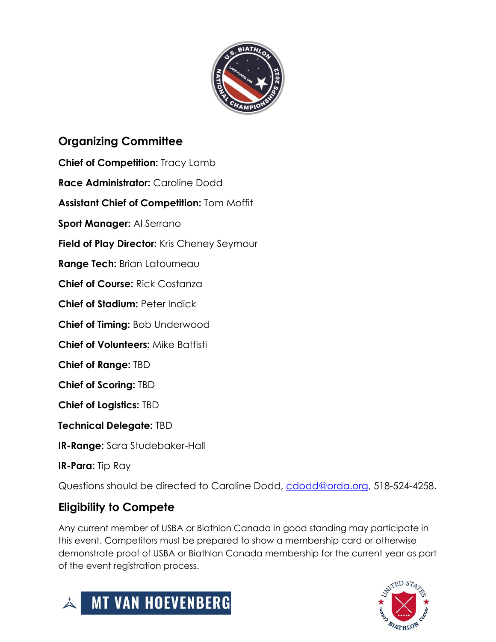

### **Organizing Committee**

**Chief of Competition:** Tracy Lamb

**Race Administrator:** Caroline Dodd

**Assistant Chief of Competition:** Tom Moffit

**Sport Manager:** Al Serrano

**Field of Play Director:** Kris Cheney Seymour

**Range Tech:** Brian Latourneau

**Chief of Course:** Rick Costanza

**Chief of Stadium: Peter Indick** 

**Chief of Timing:** Bob Underwood

**Chief of Volunteers:** Mike Battisti

**Chief of Range:** TBD

**Chief of Scoring:** TBD

**Chief of Logistics:** TBD

**Technical Delegate:** TBD

**IR-Range:** Sara Studebaker-Hall

**IR-Para:** Tip Ray

Questions should be directed to Caroline Dodd, [cdodd@orda.org,](mailto:cdodd@orda.org) 518-524-4258.

#### **Eligibility to Compete**

Any current member of USBA or Biathlon Canada in good standing may participate in this event. Competitors must be prepared to show a membership card or otherwise demonstrate proof of USBA or Biathlon Canada membership for the current year as part of the event registration process.



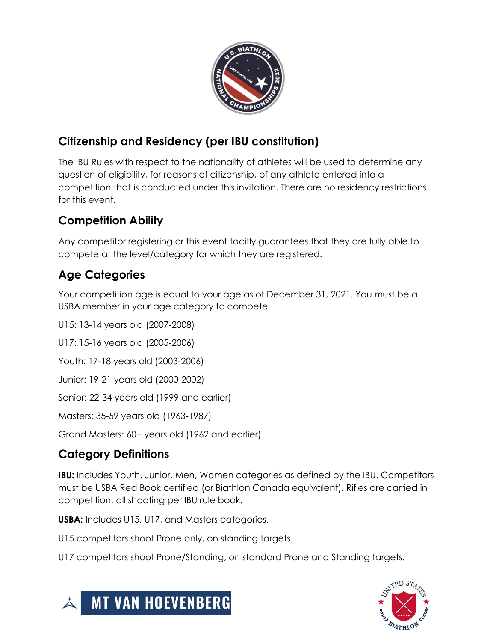

### **Citizenship and Residency (per IBU constitution)**

The IBU Rules with respect to the nationality of athletes will be used to determine any question of eligibility, for reasons of citizenship, of any athlete entered into a competition that is conducted under this invitation. There are no residency restrictions for this event.

### **Competition Ability**

Any competitor registering or this event tacitly guarantees that they are fully able to compete at the level/category for which they are registered.

### **Age Categories**

Your competition age is equal to your age as of December 31, 2021. You must be a USBA member in your age category to compete.

U15: 13-14 years old (2007-2008)

U17: 15-16 years old (2005-2006)

Youth: 17-18 years old (2003-2006)

Junior: 19-21 years old (2000-2002)

Senior: 22-34 years old (1999 and earlier)

Masters: 35-59 years old (1963-1987)

Grand Masters: 60+ years old (1962 and earlier)

### **Category Definitions**

**IBU:** Includes Youth, Junior, Men, Women categories as defined by the IBU. Competitors must be USBA Red Book certified (or Biathlon Canada equivalent). Rifles are carried in competition, all shooting per IBU rule book.

**USBA:** Includes U15, U17, and Masters categories.

U15 competitors shoot Prone only, on standing targets.

U17 competitors shoot Prone/Standing, on standard Prone and Standing targets.



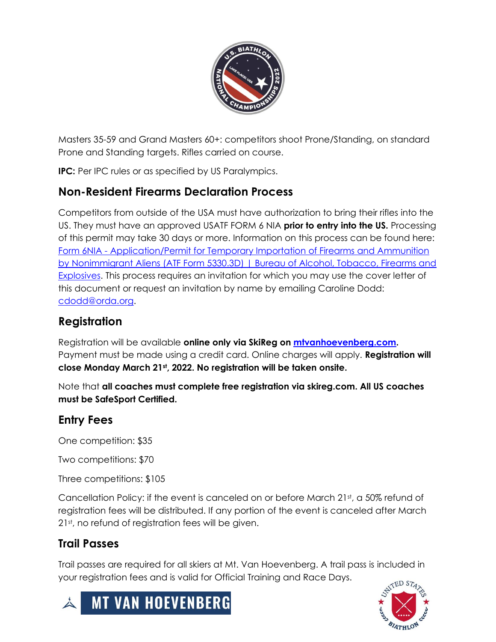

Masters 35-59 and Grand Masters 60+: competitors shoot Prone/Standing, on standard Prone and Standing targets. Rifles carried on course.

**IPC:** Per IPC rules or as specified by US Paralympics.

#### **Non-Resident Firearms Declaration Process**

Competitors from outside of the USA must have authorization to bring their rifles into the US. They must have an approved USATF FORM 6 NIA **prior to entry into the US.** Processing of this permit may take 30 days or more. Information on this process can be found here: Form 6NIA - [Application/Permit for Temporary Importation of Firearms and Ammunition](https://www.atf.gov/firearms/docs/form/form-6nia-applicationpermit-temporary-importation-firearms-and-ammunition)  [by Nonimmigrant Aliens \(ATF Form 5330.3D\) | Bureau of Alcohol, Tobacco, Firearms and](https://www.atf.gov/firearms/docs/form/form-6nia-applicationpermit-temporary-importation-firearms-and-ammunition)  [Explosives.](https://www.atf.gov/firearms/docs/form/form-6nia-applicationpermit-temporary-importation-firearms-and-ammunition) This process requires an invitation for which you may use the cover letter of this document or request an invitation by name by emailing Caroline Dodd: [cdodd@orda.org.](mailto:cdodd@orda.org)

#### **Registration**

Registration will be available **online only via SkiReg on [mtvanhoevenberg.com.](https://mtvanhoevenberg.com/event/u-s-biathlon-national-championships/)**  Payment must be made using a credit card. Online charges will apply. **Registration will close Monday March 21st, 2022. No registration will be taken onsite.** 

Note that **all coaches must complete free registration via skireg.com. All US coaches must be SafeSport Certified.** 

#### **Entry Fees**

One competition: \$35

Two competitions: \$70

Three competitions: \$105

Cancellation Policy: if the event is canceled on or before March 21st, a 50% refund of registration fees will be distributed. If any portion of the event is canceled after March 21st, no refund of registration fees will be given.

#### **Trail Passes**

Trail passes are required for all skiers at Mt. Van Hoevenberg. A trail pass is included in your registration fees and is valid for Official Training and Race Days.



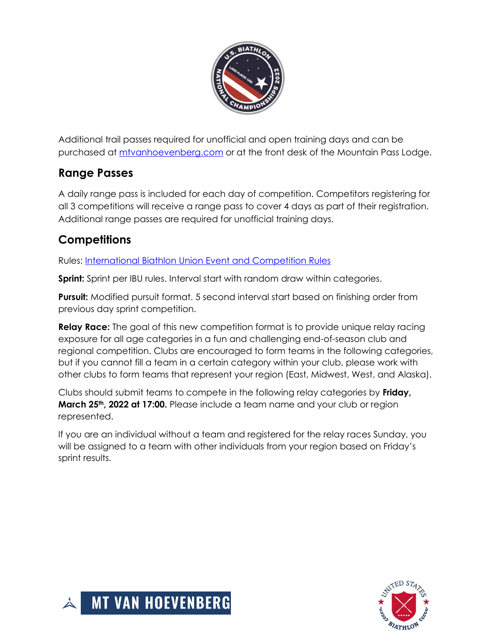

Additional trail passes required for unofficial and open training days and can be purchased at<mtvanhoevenberg.com> or at the front desk of the Mountain Pass Lodge.

#### **Range Passes**

A daily range pass is included for each day of competition. Competitors registering for all 3 competitions will receive a range pass to cover 4 days as part of their registration. Additional range passes are required for unofficial training days.

### **Competitions**

Rules: [International Biathlon Union Event and Competition Rules](https://assets.ctfassets.net/cz0vl36hcq0x/7mkQn1kQTB7VzlUZHAcuec/4074feae655444a2becb2925a2955661/m95qufrqcsz9toqebwbc.pdf)

**Sprint:** Sprint per IBU rules. Interval start with random draw within categories.

**Pursuit:** Modified pursuit format. 5 second interval start based on finishing order from previous day sprint competition.

**Relay Race:** The goal of this new competition format is to provide unique relay racing exposure for all age categories in a fun and challenging end-of-season club and regional competition. Clubs are encouraged to form teams in the following categories, but if you cannot fill a team in a certain category within your club, please work with other clubs to form teams that represent your region (East, Midwest, West, and Alaska).

Clubs should submit teams to compete in the following relay categories by **Friday, March 25th, 2022 at 17:00.** Please include a team name and your club or region represented.

If you are an individual without a team and registered for the relay races Sunday, you will be assigned to a team with other individuals from your region based on Friday's sprint results.



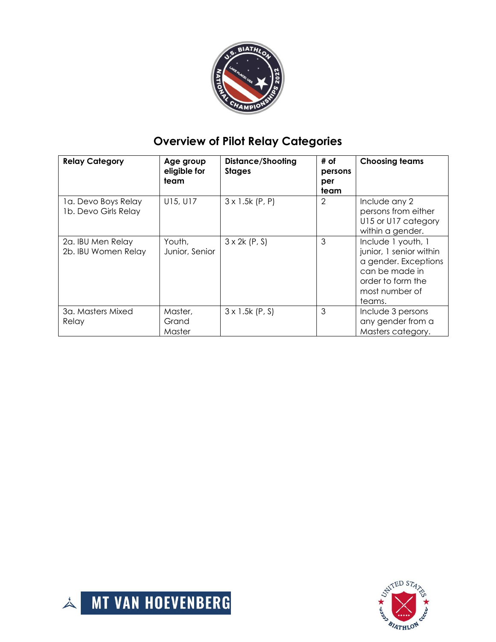

## **Overview of Pilot Relay Categories**

| <b>Relay Category</b>                       | Age group<br>eligible for<br>team | <b>Distance/Shooting</b><br><b>Stages</b> | # of<br>persons<br>per<br>team | <b>Choosing teams</b>                                                                                                                    |
|---------------------------------------------|-----------------------------------|-------------------------------------------|--------------------------------|------------------------------------------------------------------------------------------------------------------------------------------|
| 1a. Devo Boys Relay<br>1b. Devo Girls Relay | U15, U17                          | $3 \times 1.5k$ (P, P)                    | $\overline{2}$                 | Include any 2<br>persons from either<br>U15 or U17 category<br>within a gender.                                                          |
| 2a. IBU Men Relay<br>2b. IBU Women Relay    | Youth,<br>Junior, Senior          | $3 \times 2k$ (P, S)                      | 3                              | Include 1 youth, 1<br>junior, 1 senior within<br>a gender. Exceptions<br>can be made in<br>order to form the<br>most number of<br>teams. |
| 3a. Masters Mixed<br>Relay                  | Master,<br>Grand<br>Master        | $3 \times 1.5k$ (P, S)                    | 3                              | Include 3 persons<br>any gender from a<br>Masters category.                                                                              |



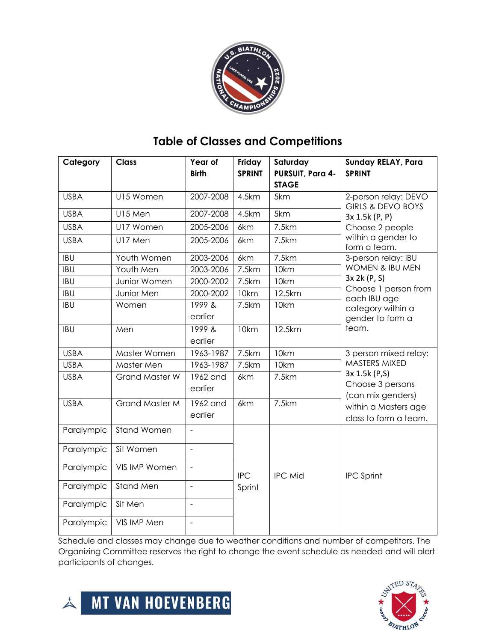

### **Table of Classes and Competitions**

| Category    | <b>Class</b>          | Year of<br><b>Birth</b> | Friday<br><b>SPRINT</b> | Saturday<br>PURSUIT, Para 4-<br><b>STAGE</b> | <b>Sunday RELAY, Para</b><br><b>SPRINT</b>                                                              |  |
|-------------|-----------------------|-------------------------|-------------------------|----------------------------------------------|---------------------------------------------------------------------------------------------------------|--|
| <b>USBA</b> | U15 Women             | 2007-2008               | 4.5km                   | 5km                                          | 2-person relay: DEVO<br><b>GIRLS &amp; DEVO BOYS</b>                                                    |  |
| <b>USBA</b> | U15 Men               | 2007-2008               | 4.5km                   | 5km                                          | 3x 1.5k (P, P)<br>Choose 2 people                                                                       |  |
| <b>USBA</b> | U17 Women             | 2005-2006               | 6km                     | 7.5km                                        |                                                                                                         |  |
| <b>USBA</b> | U17 Men               | 2005-2006               | 6km                     | 7.5km                                        | within a gender to<br>form a team.                                                                      |  |
| <b>IBU</b>  | Youth Women           | 2003-2006               | 6km                     | 7.5km                                        | 3-person relay: IBU<br><b>WOMEN &amp; IBU MEN</b>                                                       |  |
| <b>IBU</b>  | Youth Men             | 2003-2006               | 7.5km                   | 10km                                         |                                                                                                         |  |
| <b>IBU</b>  | Junior Women          | 2000-2002               | 7.5km                   | 10km                                         | 3x 2k (P, S)<br>Choose 1 person from<br>each IBU age                                                    |  |
| <b>IBU</b>  | Junior Men            | 2000-2002               | 10km                    | 12.5km                                       |                                                                                                         |  |
| <b>IBU</b>  | Women                 | 1999 &<br>earlier       | 7.5km                   | 10km                                         | category within a<br>gender to form a                                                                   |  |
| <b>IBU</b>  | Men                   | 1999 &<br>earlier       | 10km                    | 12.5km                                       | team.                                                                                                   |  |
| <b>USBA</b> | Master Women          | 1963-1987               | 7.5km                   | 10km                                         | 3 person mixed relay:                                                                                   |  |
| <b>USBA</b> | Master Men            | 1963-1987               | 7.5km                   | 10km                                         | MASTERS MIXED                                                                                           |  |
| <b>USBA</b> | <b>Grand Master W</b> | 1962 and<br>earlier     | 6km                     | 7.5km                                        | 3x 1.5k (P,S)<br>Choose 3 persons<br>(can mix genders)<br>within a Masters age<br>class to form a team. |  |
| <b>USBA</b> | <b>Grand Master M</b> | 1962 and<br>earlier     | 6km                     | 7.5km                                        |                                                                                                         |  |
| Paralympic  | <b>Stand Women</b>    | $\overline{a}$          |                         |                                              |                                                                                                         |  |
| Paralympic  | Sit Women             | $\overline{a}$          |                         |                                              |                                                                                                         |  |
| Paralympic  | VIS IMP Women         | $\overline{a}$          | <b>IPC</b>              | <b>IPC Mid</b>                               | <b>IPC Sprint</b>                                                                                       |  |
| Paralympic  | Stand Men             | $\frac{1}{2}$           | Sprint                  |                                              |                                                                                                         |  |
| Paralympic  | Sit Men               | $\overline{a}$          |                         |                                              |                                                                                                         |  |
| Paralympic  | VIS IMP Men           | $\overline{a}$          |                         |                                              |                                                                                                         |  |

Schedule and classes may change due to weather conditions and number of competitors. The Organizing Committee reserves the right to change the event schedule as needed and will alert participants of changes.



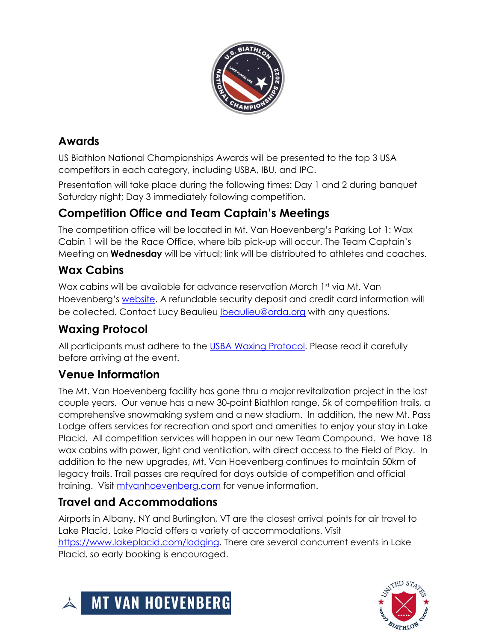

### **Awards**

US Biathlon National Championships Awards will be presented to the top 3 USA competitors in each category, including USBA, IBU, and IPC.

Presentation will take place during the following times: Day 1 and 2 during banquet Saturday night; Day 3 immediately following competition.

### **Competition Office and Team Captain's Meetings**

The competition office will be located in Mt. Van Hoevenberg's Parking Lot 1: Wax Cabin 1 will be the Race Office, where bib pick-up will occur. The Team Captain's Meeting on **Wednesday** will be virtual; link will be distributed to athletes and coaches.

### **Wax Cabins**

Wax cabins will be available for advance reservation March 1st via Mt. Van Hoevenberg's [website.](https://mtvanhoevenberg.com/event/us-ski-and-snowboard-supertour-nensa-eastern-cup-jan-1/) A refundable security deposit and credit card information will be collected. Contact Lucy Beaulieu [lbeaulieu@orda.org](mailto:lbeaulieu@orda.org) with any questions.

### **Waxing Protocol**

All participants must adhere to the [USBA Waxing Protocol.](Updated%20USBA%20Wax%20Protocol.pdf) Please read it carefully before arriving at the event.

#### **Venue Information**

The Mt. Van Hoevenberg facility has gone thru a major revitalization project in the last couple years. Our venue has a new 30-point Biathlon range, 5k of competition trails, a comprehensive snowmaking system and a new stadium. In addition, the new Mt. Pass Lodge offers services for recreation and sport and amenities to enjoy your stay in Lake Placid. All competition services will happen in our new Team Compound. We have 18 wax cabins with power, light and ventilation, with direct access to the Field of Play. In addition to the new upgrades, Mt. Van Hoevenberg continues to maintain 50km of legacy trails. Trail passes are required for days outside of competition and official training. Visit<mtvanhoevenberg.com> for venue information.

### **Travel and Accommodations**

Airports in Albany, NY and Burlington, VT are the closest arrival points for air travel to Lake Placid. Lake Placid offers a variety of accommodations. Visit [https://www.lakeplacid.com/lodging.](https://www.lakeplacid.com/lodging) There are several concurrent events in Lake Placid, so early booking is encouraged.